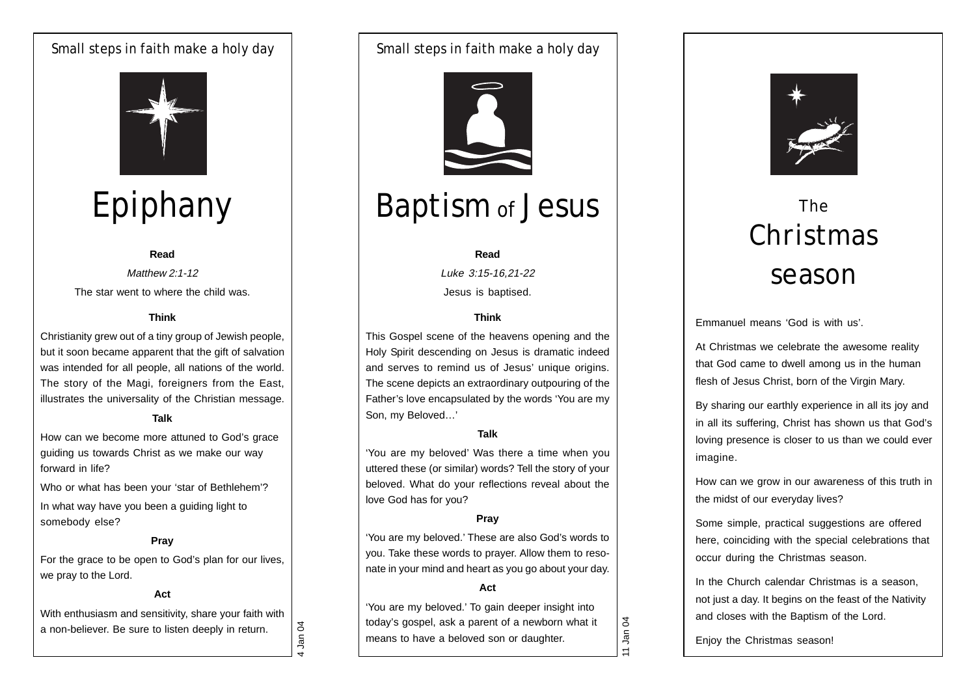# Small steps in faith make a holy day



# Epiphany

#### **Read**

Matthew 2:1-12 The star went to where the child was.

# **Think**

Christianity grew out of a tiny group of Jewish people, but it soon became apparent that the gift of salvation was intended for all people, all nations of the world. The story of the Magi, foreigners from the East, illustrates the universality of the Christian message.

#### **Talk**

How can we become more attuned to God's grace guiding us towards Christ as we make our way forward in life?

Who or what has been your 'star of Bethlehem'? In what way have you been a guiding light to somebody else?

#### **Pray**

For the grace to be open to God's plan for our lives, we pray to the Lord.

# **Act**

With enthusiasm and sensitivity, share your faith with a non-believer. Be sure to listen deeply in return.

Small steps in faith make a holy day



# Baptism of Jesus

#### **Read**

Luke 3:15-16,21-22 Jesus is baptised.

# **Think**

This Gospel scene of the heavens opening and the Holy Spirit descending on Jesus is dramatic indeed and serves to remind us of Jesus' unique origins. The scene depicts an extraordinary outpouring of the Father's love encapsulated by the words 'You are my Son, my Beloved…'

#### **Talk**

'You are my beloved' Was there a time when you uttered these (or similar) words? Tell the story of your beloved. What do your reflections reveal about the love God has for you?

# **Pray**

'You are my beloved.' These are also God's words to you. Take these words to prayer. Allow them to resonate in your mind and heart as you go about your day.

#### **Act**

'You are my beloved.' To gain deeper insight into today's gospel, ask a parent of a newborn what it means to have a beloved son or daughter.



# The Christmas season

Emmanuel means 'God is with us'.

At Christmas we celebrate the awesome reality that God came to dwell among us in the human flesh of Jesus Christ, born of the Virgin Mary.

By sharing our earthly experience in all its joy and in all its suffering, Christ has shown us that God's loving presence is closer to us than we could ever imagine.

How can we grow in our awareness of this truth in the midst of our everyday lives?

Some simple, practical suggestions are offered here, coinciding with the special celebrations that occur during the Christmas season.

In the Church calendar Christmas is a season, not just a day. It begins on the feast of the Nativity and closes with the Baptism of the Lord.

Enjoy the Christmas season!

4 Jan 04